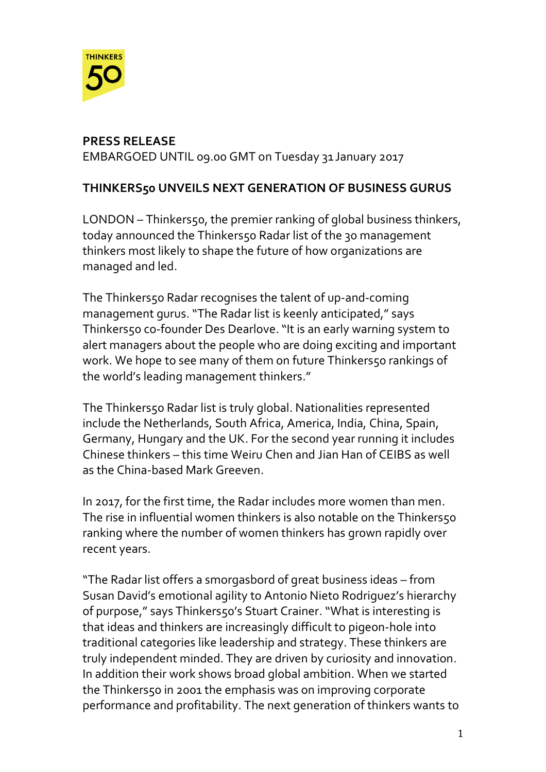

# **PRESS RELEASE**

EMBARGOED UNTIL 09.00 GMT on Tuesday 31 January 2017

# **THINKERS50 UNVEILS NEXT GENERATION OF BUSINESS GURUS**

LONDON – Thinkers50, the premier ranking of global business thinkers, today announced the Thinkers50 Radar list of the 30 management thinkers most likely to shape the future of how organizations are managed and led.

The Thinkers50 Radar recognises the talent of up-and-coming management gurus. "The Radar list is keenly anticipated," says Thinkers50 co-founder Des Dearlove. "It is an early warning system to alert managers about the people who are doing exciting and important work. We hope to see many of them on future Thinkers50 rankings of the world's leading management thinkers."

The Thinkers50 Radar list is truly global. Nationalities represented include the Netherlands, South Africa, America, India, China, Spain, Germany, Hungary and the UK. For the second year running it includes Chinese thinkers – this time Weiru Chen and Jian Han of CEIBS as well as the China-based Mark Greeven.

In 2017, for the first time, the Radar includes more women than men. The rise in influential women thinkers is also notable on the Thinkers50 ranking where the number of women thinkers has grown rapidly over recent years.

"The Radar list offers a smorgasbord of great business ideas – from Susan David's emotional agility to Antonio Nieto Rodriguez's hierarchy of purpose," says Thinkers50's Stuart Crainer. "What is interesting is that ideas and thinkers are increasingly difficult to pigeon-hole into traditional categories like leadership and strategy. These thinkers are truly independent minded. They are driven by curiosity and innovation. In addition their work shows broad global ambition. When we started the Thinkers50 in 2001 the emphasis was on improving corporate performance and profitability. The next generation of thinkers wants to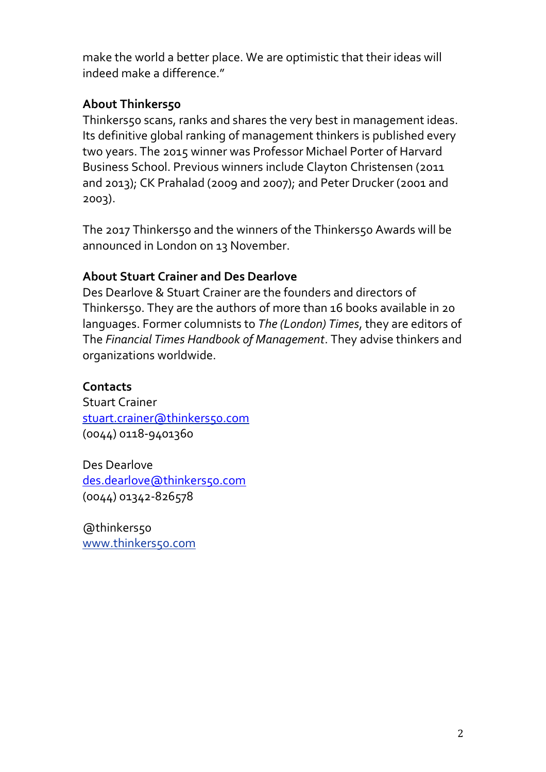make the world a better place. We are optimistic that their ideas will indeed make a difference."

# **About Thinkers50**

Thinkers50 scans, ranks and shares the very best in management ideas. Its definitive global ranking of management thinkers is published every two years. The 2015 winner was Professor Michael Porter of Harvard Business School. Previous winners include Clayton Christensen (2011 and 2013); CK Prahalad (2009 and 2007); and Peter Drucker (2001 and 2003).

The 2017 Thinkers50 and the winners of the Thinkers50 Awards will be announced in London on 13 November.

## **About Stuart Crainer and Des Dearlove**

Des Dearlove & Stuart Crainer are the founders and directors of Thinkers50. They are the authors of more than 16 books available in 20 languages. Former columnists to *The (London) Times*, they are editors of The *Financial Times Handbook of Management*. They advise thinkers and organizations worldwide.

### **Contacts**

Stuart Crainer [stuart.crainer@thinkers50.com](mailto:stuart.crainer@thinkers50.com) (0044) 0118-9401360

Des Dearlove [des.dearlove@thinkers50.com](mailto:des.dearlove@thinkers50.com) (0044) 01342-826578

@thinkers50 [www.thinkers50.com](http://www.thinkers50.com/)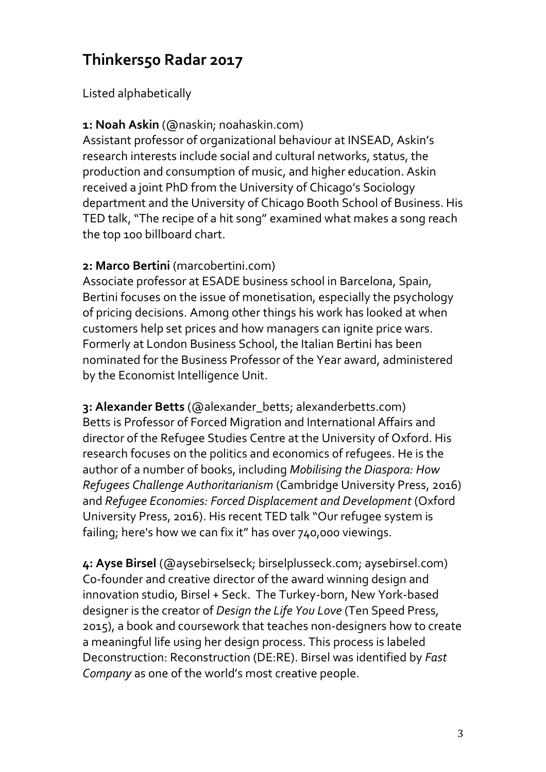# **Thinkers50 Radar 2017**

Listed alphabetically

# **1: Noah Askin** (@naskin; noahaskin.com)

Assistant professor of organizational behaviour at INSEAD, Askin's research interests include social and cultural networks, status, the production and consumption of music, and higher education. Askin received a joint PhD from the University of Chicago's Sociology department and the University of Chicago Booth School of Business. His TED talk,"The recipe of a hit song" examined what makes a song reach the top 100 billboard chart.

# **2: Marco Bertini** (marcobertini.com)

Associate professor at ESADE business school in Barcelona, Spain, Bertini focuses on the issue of monetisation, especially the psychology of pricing decisions. Among other things his work has looked at when customers help set prices and how managers can ignite price wars. Formerly at London Business School, the Italian Bertini has been nominated for the Business Professor of the Year award, administered by the Economist Intelligence Unit.

**3: Alexander Betts** (@alexander\_betts; alexanderbetts.com) Betts is Professor of Forced Migration and International Affairs and director of the Refugee Studies Centre at the University of Oxford. His research focuses on the politics and economics of refugees. He is the author of a number of books, including *Mobilising the Diaspora: How Refugees Challenge Authoritarianism* (Cambridge University Press, 2016) and *Refugee Economies: Forced Displacement and Development* (Oxford University Press, 2016). His recent TED talk "Our refugee system is failing; here's how we can fix it" has over 740,000 viewings.

**4: Ayse Birsel** (@aysebirselseck; birselplusseck.com; aysebirsel.com) Co-founder and creative director of the award winning design and innovation studio, Birsel + Seck. The Turkey-born, New York-based designer is the creator of *Design the Life You Love* (Ten Speed Press, 2015), a book and coursework that teaches non-designers how to create a meaningful life using her design process. This process is labeled Deconstruction: Reconstruction (DE:RE). Birsel was identified by *Fast Company* as one of the world's most creative people.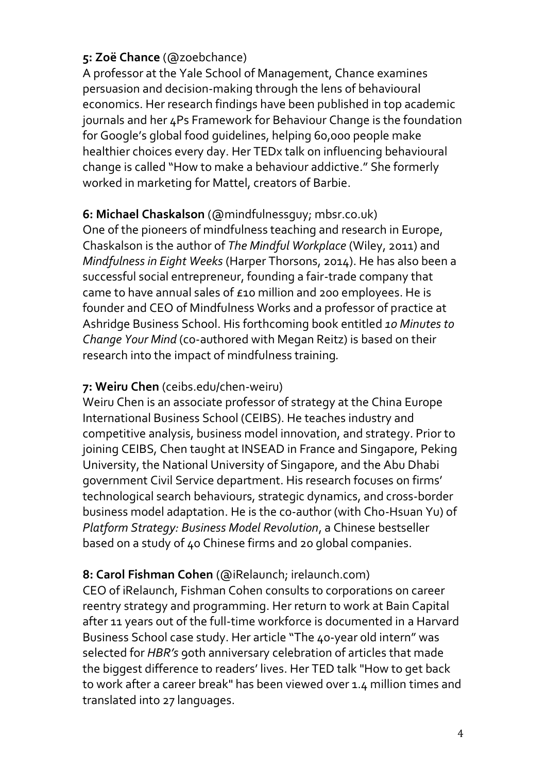# **5: Zoë Chance** (@zoebchance)

A professor at the Yale School of Management, Chance examines persuasion and decision-making through the lens of behavioural economics. Her research findings have been published in top academic journals and her 4Ps Framework for Behaviour Change is the foundation for Google's global food guidelines, helping 60,000 people make healthier choices every day. Her TEDx talk on influencing behavioural change is called "How to make a behaviour addictive." She formerly worked in marketing for Mattel, creators of Barbie.

# **6: Michael Chaskalson** (@mindfulnessguy; mbsr.co.uk)

One of the pioneers of mindfulness teaching and research in Europe, Chaskalson is the author of *The Mindful Workplace* (Wiley, 2011) and *Mindfulness in Eight Weeks* (Harper Thorsons, 2014). He has also been a successful social entrepreneur, founding a fair-trade company that came to have annual sales of £10 million and 200 employees. He is founder and CEO of Mindfulness Works and a professor of practice at Ashridge Business School. His forthcoming book entitled *10 Minutes to Change Your Mind* (co-authored with Megan Reitz) is based on their research into the impact of mindfulness training*.*

### **7: Weiru Chen** (ceibs.edu/chen-weiru)

Weiru Chen is an associate professor of strategy at the China Europe International Business School (CEIBS). He teaches industry and competitive analysis, business model innovation, and strategy. Prior to joining CEIBS, Chen taught at INSEAD in France and Singapore, Peking University, the National University of Singapore, and the Abu Dhabi government Civil Service department. His research focuses on firms' technological search behaviours, strategic dynamics, and cross-border business model adaptation. He is the co-author (with Cho-Hsuan Yu) of *Platform Strategy: Business Model Revolution*, a Chinese bestseller based on a study of 40 Chinese firms and 20 global companies.

# **8: Carol Fishman Cohen** (@iRelaunch; irelaunch.com)

CEO of iRelaunch, Fishman Cohen consults to corporations on career reentry strategy and programming. Her return to work at Bain Capital after 11 years out of the full-time workforce is documented in a Harvard Business School case study. Her article "The 40-year old intern" was selected for *HBR's* 90th anniversary celebration of articles that made the biggest difference to readers' lives. Her TED talk "How to get back to work after a career break" has been viewed over 1.4 million times and translated into 27 languages.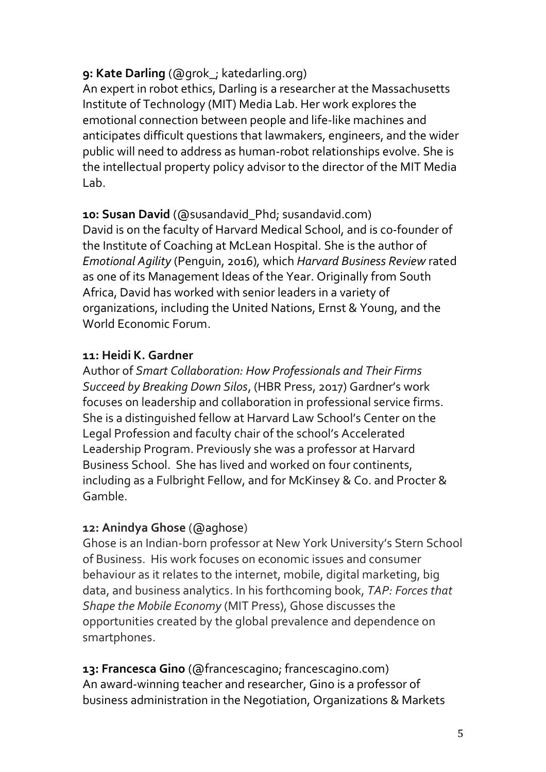# **9: Kate Darling** (@grok\_; katedarling.org)

An expert in robot ethics, Darling is a researcher at the Massachusetts Institute of Technology (MIT) Media Lab. Her work explores the emotional connection between people and life-like machines and anticipates difficult questions that lawmakers, engineers, and the wider public will need to address as human-robot relationships evolve. She is the intellectual property policy advisor to the director of the MIT Media Lab.

**10: Susan David** (@susandavid\_Phd; susandavid.com) David is on the faculty of Harvard Medical School, and is co-founder of the Institute of Coaching at McLean Hospital. She is the author of *Emotional Agility* (Penguin, 2016)*,* which *Harvard Business Review* rated as one of its Management Ideas of the Year. Originally from South Africa, David has worked with senior leaders in a variety of organizations, including the United Nations, Ernst & Young, and the World Economic Forum.

# **11: Heidi K. Gardner**

Author of *Smart Collaboration: How Professionals and Their Firms Succeed by Breaking Down Silos*, (HBR Press, 2017) Gardner's work focuses on leadership and collaboration in professional service firms. She is a distinguished fellow at Harvard Law School's Center on the Legal Profession and faculty chair of the school's Accelerated Leadership Program. Previously she was a professor at Harvard Business School. She has lived and worked on four continents, including as a Fulbright Fellow, and for McKinsey & Co. and Procter & Gamble.

# **12: Anindya Ghose** (@aghose)

Ghose is an Indian-born professor at New York University's Stern School of Business. His work focuses on economic issues and consumer behaviour as it relates to the internet, mobile, digital marketing, big data, and business analytics. In his forthcoming book, *TAP: Forces that Shape the Mobile Economy* (MIT Press), Ghose discusses the opportunities created by the global prevalence and dependence on smartphones.

**13: Francesca Gino** (@francescagino; francescagino.com) An award-winning teacher and researcher, Gino is a professor of business administration in the [Negotiation, Organizations & Markets](http://www.hbs.edu/units/nom/)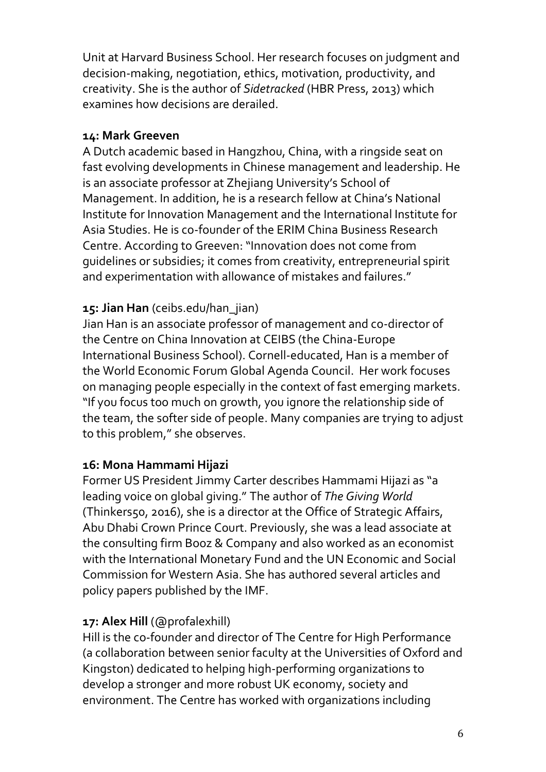[Unit](http://www.hbs.edu/units/nom/) at Harvard Business School. Her research focuses on judgment and decision-making, negotiation, ethics, motivation, productivity, and creativity. She is the author of *Sidetracked* (HBR Press, 2013) which examines how decisions are derailed.

### **14: Mark Greeven**

A Dutch academic based in Hangzhou, China, with a ringside seat on fast evolving developments in Chinese management and leadership. He is an associate professor at Zhejiang University's School of Management. In addition, he is a research fellow at China's National Institute for Innovation Management and the International Institute for Asia Studies. He is co-founder of the ERIM China Business Research Centre. According to Greeven: "Innovation does not come from guidelines or subsidies; it comes from creativity, entrepreneurial spirit and experimentation with allowance of mistakes and failures."

# **15: Jian Han** (ceibs.edu/han\_jian)

Jian Han is an associate professor of management and co-director of the Centre on China Innovation at CEIBS (the China-Europe International Business School). Cornell-educated, Han is a member of the World Economic Forum Global Agenda Council. Her work focuses on managing people especially in the context of fast emerging markets. "If you focus too much on growth, you ignore the relationship side of the team, the softer side of people. Many companies are trying to adjust to this problem," she observes.

#### **16: Mona Hammami Hijazi**

Former US President Jimmy Carter describes Hammami Hijazi as "a leading voice on global giving." The author of *The Giving World*  (Thinkers50, 2016), she is a director at the Office of Strategic Affairs, Abu Dhabi Crown Prince Court. Previously, she was a lead associate at the consulting firm Booz & Company and also worked as an economist with the International Monetary Fund and the UN Economic and Social Commission for Western Asia. She has authored several articles and policy papers published by the IMF.

# **17: Alex Hill** (@profalexhill)

Hill is the co-founder and director of The Centre for High Performance (a collaboration between senior faculty at the Universities of Oxford and Kingston) dedicated to helping high-performing organizations to develop a stronger and more robust UK economy, society and environment. The Centre has worked with organizations including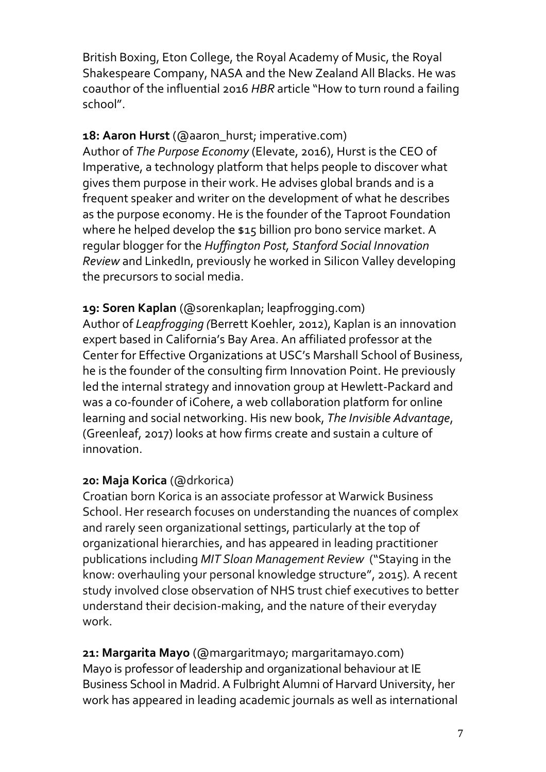British Boxing, Eton College, the Royal Academy of Music, the Royal Shakespeare Company, NASA and the New Zealand All Blacks. He was coauthor of the influential 2016 *HBR* article "How to turn round a failing school".

**18: Aaron Hurst** (@aaron\_hurst; imperative.com)

Author of *The Purpose Economy* (Elevate, 2016), Hurst is the CEO of Imperative, a technology platform that helps people to discover what gives them purpose in their work. He advises global brands and is a frequent speaker and writer on the development of what he describes as the purpose economy. He is the founder of the Taproot Foundation where he helped develop the \$15 billion pro bono service market. A regular blogger for the *Huffington Post, Stanford Social Innovation Review* and LinkedIn, previously he worked in Silicon Valley developing the precursors to social media.

**19: Soren Kaplan** (@sorenkaplan; leapfrogging.com) Author of *Leapfrogging (*Berrett Koehler, 2012), Kaplan is an innovation expert based in California's Bay Area. An affiliated professor at the Center for Effective Organizations at USC's Marshall School of Business, he is the founder of the consulting firm Innovation Point. He previously led the internal strategy and innovation group at Hewlett-Packard and was a co-founder of iCohere, a web collaboration platform for online learning and social networking. His new book, *The Invisible Advantage*, (Greenleaf, 2017) looks at how firms create and sustain a culture of innovation.

# **20: Maja Korica** (@drkorica)

Croatian born Korica is an associate professor at Warwick Business School. Her research focuses on understanding the nuances of complex and rarely seen organizational settings, particularly at the top of organizational hierarchies, and has appeared in leading practitioner publications including *MIT Sloan Management Review* ("Staying in the know: overhauling your personal knowledge structure", 2015)*.* A recent study involved close observation of NHS trust chief executives to better understand their decision-making, and the nature of their everyday work.

**21: Margarita Mayo** (@margaritmayo; margaritamayo.com) Mayo is professor of leadership and organizational behaviour at IE Business School in Madrid. A Fulbright Alumni of Harvard University, her work has appeared in leading academic journals as well as international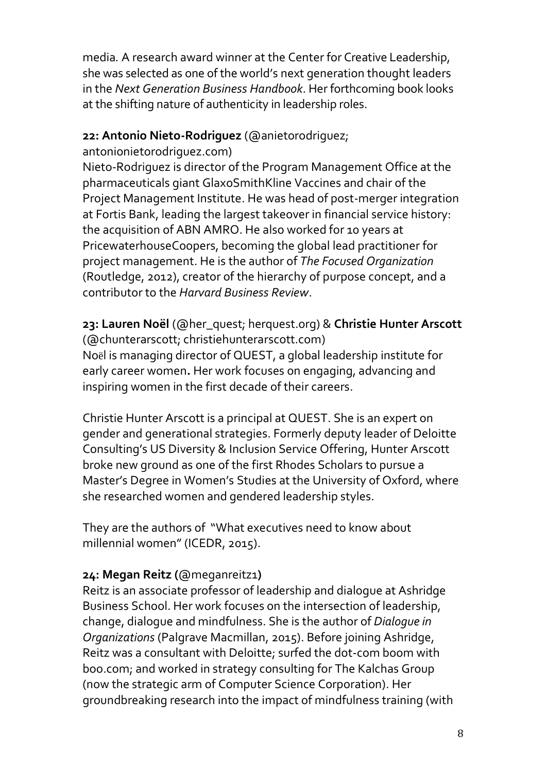media*.* A research award winner at the Center for Creative Leadership, she was selected as one of the world's next generation thought leaders in the *Next Generation Business Handbook*. Her forthcoming book looks at the shifting nature of authenticity in leadership roles.

## **22: Antonio Nieto-Rodriguez** (@anietorodriguez;

antonionietorodriguez.com)

Nieto-Rodriguez is director of the Program Management Office at the pharmaceuticals giant GlaxoSmithKline Vaccines and chair of the Project Management Institute. He was head of post-merger integration at Fortis Bank, leading the largest takeover in financial service history: the acquisition of ABN AMRO. He also worked for 10 years at PricewaterhouseCoopers, becoming the global lead practitioner for project management. He is the author of *The Focused Organization*  (Routledge, 2012), creator of the hierarchy of purpose concept, and a contributor to the *Harvard Business Review*.

**23: Lauren Noël** (@her\_quest; herquest.org) & **Christie Hunter Arscott** (@chunterarscott; christiehunterarscott.com) Noël is managing director of QUEST, a global leadership institute for early career women**.** Her work focuses on engaging, advancing and inspiring women in the first decade of their careers.

Christie Hunter Arscott is a principal at QUEST. She is an expert on gender and generational strategies. Formerly deputy leader of Deloitte Consulting's US Diversity & Inclusion Service Offering, Hunter Arscott broke new ground as one of the first Rhodes Scholars to pursue a Master's Degree in Women's Studies at the University of Oxford, where she researched women and gendered leadership styles.

They are the authors of "What executives need to know about millennial women" (ICEDR, 2015).

# **24: Megan Reitz (**@meganreitz1**)**

Reitz is an associate professor of leadership and dialogue at Ashridge Business School. Her work focuses on the intersection of leadership, change, dialogue and mindfulness. She is the author of *Dialogue in Organizations* (Palgrave Macmillan, 2015). Before joining Ashridge, Reitz was a consultant with Deloitte; surfed the dot-com boom with boo.com; and worked in strategy consulting for The Kalchas Group (now the strategic arm of Computer Science Corporation). Her groundbreaking research into the impact of mindfulness training (with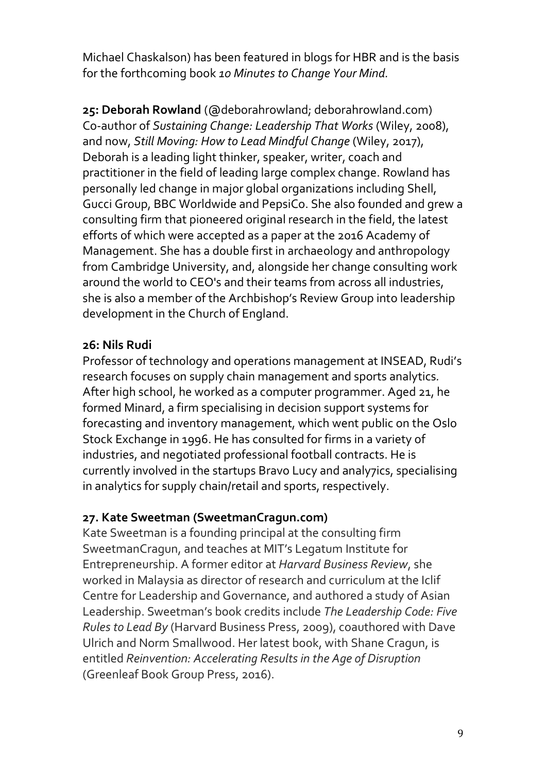Michael Chaskalson) has been featured in blogs for HBR and is the basis for the forthcoming book *10 Minutes to Change Your Mind.*

**25: Deborah Rowland** (@deborahrowland; [deborahrowland.com\)](http://deborahrowland.com/) Co-author of *Sustaining Change: Leadership That Works* (Wiley, 2008), and now, *Still Moving: How to Lead Mindful Change* (Wiley, 2017), Deborah is a leading light thinker, speaker, writer, coach and practitioner in the field of leading large complex change. Rowland has personally led change in major global organizations including Shell, Gucci Group, BBC Worldwide and PepsiCo. She also founded and grew a consulting firm that pioneered original research in the field, the latest efforts of which were accepted as a paper at the 2016 Academy of Management. She has a double first in archaeology and anthropology from Cambridge University, and, alongside her change consulting work around the world to CEO's and their teams from across all industries, she is also a member of the Archbishop's Review Group into leadership development in the Church of England.

## **26: Nils Rudi**

Professor of technology and operations management at INSEAD, Rudi's research focuses on supply chain management and sports analytics*.*  After high school, he worked as a computer programmer. Aged 21, he formed Minard, a firm specialising in decision support systems for forecasting and inventory management, which went public on the Oslo Stock Exchange in 1996. He has consulted for firms in a variety of industries, and negotiated professional football contracts. He is currently involved in the startups Bravo Lucy and analy7ics, specialising in analytics for supply chain/retail and sports, respectively.

# **27. Kate Sweetman (SweetmanCragun.com)**

Kate Sweetman is a founding principal at the consulting firm SweetmanCragun, and teaches at MIT's Legatum Institute for Entrepreneurship. A former editor at *Harvard Business Review*, she worked in Malaysia as director of research and curriculum at the Iclif Centre for Leadership and Governance, and authored a study of Asian Leadership. Sweetman's book credits include *The Leadership Code: Five Rules to Lead By* (Harvard Business Press, 2009), coauthored with Dave Ulrich and Norm Smallwood. Her latest book, with Shane Cragun, is entitled *Reinvention: Accelerating Results in the Age of Disruption* (Greenleaf Book Group Press, 2016).